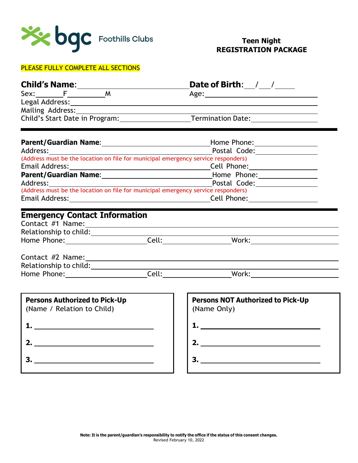

# PLEASE FULLY COMPLETE ALL SECTIONS

|                                           | Date of Birth: $\frac{1}{2}$ / $\frac{1}{2}$                                                                   |
|-------------------------------------------|----------------------------------------------------------------------------------------------------------------|
| $Sex:\underline{\qquad F\qquad \qquad M}$ |                                                                                                                |
|                                           |                                                                                                                |
|                                           |                                                                                                                |
|                                           | Child's Start Date in Program: Termination Date: 1990 Marrie 2010                                              |
|                                           | Parent/Guardian Name: 1990 Mannel 2008 Manuscript Mome Phone: 2008                                             |
|                                           | Postal Code: __________________                                                                                |
|                                           | (Address must be the location on file for municipal emergency service responders)                              |
|                                           |                                                                                                                |
|                                           | Parent/Guardian Name: 1990 Mannel Mannel Museum Mannel Mone: 1990 Mannel Mannel Museum Mannel Museum Mannel Mu |
|                                           | Address: Postal Code: Postal Code:                                                                             |
|                                           | (Address must be the location on file for municipal emergency service responders)                              |
|                                           |                                                                                                                |
| <b>Emergency Contact Information</b>      |                                                                                                                |
|                                           |                                                                                                                |
|                                           |                                                                                                                |
|                                           | Home Phone: Cell: Cell: Work:                                                                                  |
| $\int$ ontact $#2$ Namor                  |                                                                                                                |

| Contact #2 Name:       |       |       |  |
|------------------------|-------|-------|--|
| Relationship to child: |       |       |  |
| Home Phone:            | Cell: | Work: |  |

| <b>Persons Authorized to Pick-Up</b><br>(Name / Relation to Child) |  |
|--------------------------------------------------------------------|--|
|                                                                    |  |
| 2.                                                                 |  |
|                                                                    |  |

| <b>Persons NOT Authorized to Pick-Up</b><br>(Name Only) |  |
|---------------------------------------------------------|--|
|                                                         |  |
| 2.                                                      |  |
|                                                         |  |
|                                                         |  |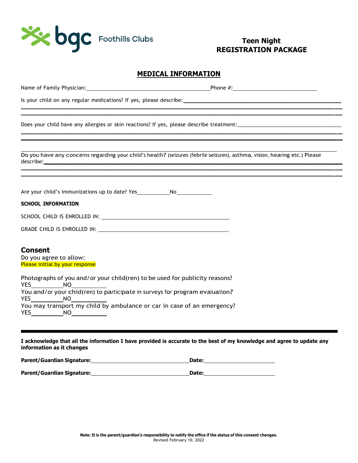

#### **MEDICAL INFORMATION**

\_\_\_\_\_\_\_\_\_\_\_\_\_\_\_\_\_\_\_\_\_\_\_\_\_\_\_\_\_\_\_\_\_\_\_\_\_\_\_\_\_\_\_\_\_\_\_\_\_\_\_\_\_\_\_\_\_\_\_\_\_\_\_\_\_\_\_\_\_\_\_\_\_\_\_\_\_\_\_\_\_\_\_\_\_\_\_\_\_\_\_\_\_\_\_\_\_\_\_\_\_\_\_\_\_\_\_\_\_\_\_\_\_\_\_\_\_\_\_\_\_\_\_\_\_ \_\_\_

\_\_\_\_\_\_\_\_\_\_\_\_\_\_\_\_\_\_\_\_\_\_\_\_\_\_\_\_\_\_\_\_\_\_\_\_\_\_\_\_\_\_\_\_\_\_\_\_\_\_\_\_\_\_\_\_\_\_\_\_\_\_\_\_\_\_\_\_\_\_\_\_\_\_\_\_\_\_\_\_\_\_\_\_\_\_\_\_\_\_\_\_\_\_\_\_\_\_\_\_\_\_\_\_\_\_\_\_\_\_\_\_\_\_\_\_\_\_\_\_\_\_\_\_\_\_ \_\_ \_\_\_\_\_\_\_\_\_\_\_\_\_\_\_\_\_\_\_\_\_\_\_\_\_\_\_\_\_\_\_\_\_\_\_\_\_\_\_\_\_\_\_\_\_\_\_\_\_\_\_\_\_\_\_\_\_\_\_\_\_\_\_\_\_\_\_\_\_\_\_\_\_\_\_\_\_\_\_\_\_\_\_\_\_\_\_\_\_\_\_\_\_\_\_\_\_\_\_\_\_\_\_\_\_\_\_\_\_\_\_\_\_\_\_\_\_\_\_\_\_\_\_\_\_\_ \_\_

\_\_\_\_\_\_\_\_\_\_\_\_\_\_\_\_\_\_\_\_\_\_\_\_\_\_\_\_\_\_\_\_\_\_\_\_\_\_\_\_\_\_\_\_\_\_\_\_\_\_\_\_\_\_\_\_\_\_\_\_\_\_\_\_\_\_\_\_\_\_\_\_\_\_\_\_\_\_\_\_\_\_\_\_\_\_\_\_\_\_\_\_\_\_\_\_\_\_\_\_\_\_\_\_\_\_\_\_\_\_\_\_\_\_\_\_\_\_\_\_\_\_\_\_\_ \_\_\_

|  |  | Name of Family Physician: |
|--|--|---------------------------|
|--|--|---------------------------|

Phone  $#$ :

Is your child on any regular medications? If yes, please describe:

Does your child have any allergies or skin reactions? If yes, please describe treatment:\_\_\_\_\_\_\_\_\_\_\_\_\_\_\_\_\_\_\_\_\_\_

Do you have any concerns regarding your child'<sup>s</sup> health?(seizures (febrile seizures), asthma, vision, hearing etc.) Please describe:\_\_\_\_\_\_\_\_\_\_\_\_\_\_\_\_\_\_\_\_\_\_\_\_\_\_\_\_\_\_\_\_\_\_\_\_\_\_\_\_\_\_\_\_\_\_\_\_\_\_\_\_\_\_\_\_\_\_\_\_\_\_\_\_\_\_\_\_\_\_\_\_\_\_\_\_\_\_\_\_\_\_\_\_\_\_\_\_\_\_\_\_\_\_\_\_\_\_\_\_\_\_\_\_\_\_\_\_\_\_\_\_\_\_\_\_\_\_\_

 $\mathcal{L} = \{ \mathcal{L} = \{ \mathcal{L} = \{ \mathcal{L} = \{ \mathcal{L} = \{ \mathcal{L} = \{ \mathcal{L} = \{ \mathcal{L} = \{ \mathcal{L} = \{ \mathcal{L} = \{ \mathcal{L} = \{ \mathcal{L} = \{ \mathcal{L} = \{ \mathcal{L} = \{ \mathcal{L} = \{ \mathcal{L} = \{ \mathcal{L} = \{ \mathcal{L} = \{ \mathcal{L} = \{ \mathcal{L} = \{ \mathcal{L} = \{ \mathcal{L} = \{ \mathcal{L} = \{ \mathcal{L} = \{ \mathcal{$ 

Are your child's immunizations up to date? Yes \_\_\_\_\_\_\_\_\_\_\_\_\_\_\_\_\_\_\_\_\_\_\_\_\_\_\_\_\_\_\_\_\_

#### **SCHOOL INFORMATION**

|  | SCHOOL CHILD IS ENROLLED IN: |  |
|--|------------------------------|--|
|--|------------------------------|--|

| GRADE CHILD IS ENROLLED IN: |  |
|-----------------------------|--|
|                             |  |

#### **Consent**

Do you agree to allow: Please initial by your response

|            |    | Photographs of you and/or your child(ren) to be used for publicity reasons?  |
|------------|----|------------------------------------------------------------------------------|
| <b>YES</b> | NΩ |                                                                              |
|            |    | You and/or your child(ren) to participate in surveys for program evaluation? |
| YES.       | NΩ |                                                                              |
|            |    | You may transport my child by ambulance or car in case of an emergency?      |
| YES.       | NΩ |                                                                              |

#### I acknowledge that all the information I have provided is accurate to the best of my knowledge and agree to update any **information as it changes**

| Parent/Guardian Signature: | Date: |
|----------------------------|-------|
|----------------------------|-------|

**Parent/Guardian Signature: Date: Date: Date: Date: Date: Date: Date: Date: Date: Date: Date: Date: Date: Date: Date: Date: Date: Date: Date: Date: Date: Date: Date: Date:**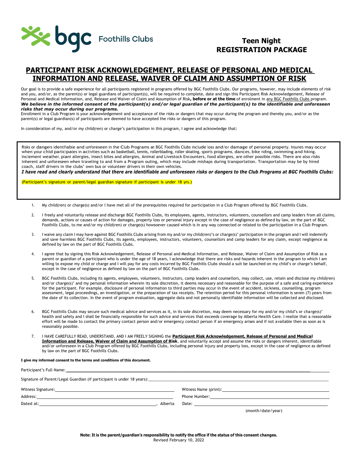

## **PARTICIPANT RISK ACKNOWLEDGEMENT, RELEASE OF PERSONAL AND MEDICAL INFORMATION AND RELEASE, WAIVER OF CLAIM AND ASSUMPTION OF RISK**

Our goal is to provide a safe experience for all participants registered in programs offered by BGC Foothills Clubs. Our programs, however, may include elements of risk and you, and/or, as the parent(s) or legal guardians of participant(s), will be required to complete, date and sign this Participant Risk Acknowledgement, Release of Personal and Medical Information, and, Release and Waiver of Claim and Assumption of Risk**, before or at the time** of enrolment in any BGC Foothills Clubs program. *We believe in the informed consent of the participant(s) and/or legal guardian of the participant(s) to the identifiable and unforeseen risks that may occur during our programs.*

Enrollment in a Club Program is your acknowledgement and acceptance of the risks or dangers that may occur during the program and thereby you, and/or as the parent(s) or legal guardian(s) of participants are deemed to have accepted the risks or dangers of this program.

In consideration of my, and/or my child(ren) or charge's participation in this program, I agree and acknowledge that:

Risks or dangers identifiable and unforeseen in the Club Programs at BGC Foothills Clubs include loss and/or damage of personal property. Injuries may occur when your child participates in activities such as basketball, tennis, rollerblading, roller skiating, sports programs, dances, bike riding, swimming and hiking. Inclement weather, plant allergies, insect bites and allergies, Animal and Livestock Encounters, food allergies, are other possible risks. There are also risks inherent and unforeseen when traveling to and from a Program outing, which may include mishaps during transportation. Transportation may be by hired coach, staff drivers in the clubs' own bus or volunteer drivers in their own vehicles.

*I have read and clearly understand that there are identifiable and unforeseen risks or dangers to the Club Programs at BGC Foothills Clubs:*

(Participant's signature or parent/legal guardian signature if participant is under 18 yrs.)

- 1. My child(ren) or charge(s) and/or I have met all of the prerequisites required for participation in a Club Program offered by BGC Foothills Clubs.
- 2. I freely and voluntarily release and discharge BGC Foothills Clubs, its employees, agents, instructors, volunteers, counsellors and camp leaders from all claims, demands, actions or causes of action for damages, property loss or personal injury except in the case of negligence as defined by law, on the part of BGC Foothills Clubs, to me and/or my child(ren) or charge(s) howsoever caused which is in any way connected or related to the participation in a Club Program.
- 3. I waive any claim I may have against BGC Foothills Clubs arising from my and/or my child(ren)'s or charge(s)' participation in the program and I will indemnify and save harmless BGC Foothills Clubs, its agents, employees, instructors, volunteers, counsellors and camp leaders for any claim, except negligence as defined by law on the part of BGC Foothills Clubs.
- 4. I agree that by signing this Risk Acknowledgement, Release of Personal and Medical Information, and Release, Waiver of Claim and Assumption of Risk as a parent or guardian of a participant who is under the age of 18 years, I acknowledge that there are risks and hazards inherent in the program to which I am willing to expose my child or charge and I will pay for any costs incurred by BGC Foothills Clubs should a suit be launched on my child's or charge's behalf, except in the case of negligence as defined by law on the part of BGC Foothills Clubs.
- 5. BGC Foothills Clubs, including its agents, employees, volunteers, instructors, camp leaders and counsellors, may collect, use, retain and disclose my child(ren) and/or charge(s)' and my personal information wherein its sole discretion, it deems necessary and reasonable for the purpose of a safe and caring experience for the participant. For example, disclosure of personal information to third parties may occur in the event of accident, sickness, counselling, program assessment, legal proceedings, an investigation, or the preparation of tax receipts. The retention period for this personal information is seven (7) years from the date of its collection. In the event of program evaluation, aggregate data and not personally identifiable information will be collected and disclosed.
- 6. BGC Foothills Clubs may secure such medical advice and services as it, in its sole discretion, may deem necessary for my and/or my child's or charge(s)' health and safety and I shall be financially responsible for such advice and services that exceeds coverage by Alberta Health Care. I realize that a reasonable effort will be made to contact the primary contact person and/or emergency contact person if an emergency arises and if not available then as soon as is reasonably possible.
- 7. I HAVE CAREFULLY READ, UNDERSTAND, AND I AM FREELY SIGNING the **Participant Risk Acknowledgement, Release of Personal and Medical Information and Release, Waiver of Claim and Assumption of Risk**, and voluntarily accept and assume the risks or dangers inherent, identifiable and/or unforeseen in a Club Program offered by BGC Foothills Clubs, including personal injury and property loss, except in the case of negligence as defined by law on the part of BGC Foothills Clubs.

#### **I give my informed consent to the terms and conditions of this document.**

| Signature of Parent/Legal Guardian (if participant is under 18 years):<br>Signature of Parent/Legal Guardian (if participant is under 18 years): |         |                   |  |
|--------------------------------------------------------------------------------------------------------------------------------------------------|---------|-------------------|--|
|                                                                                                                                                  |         |                   |  |
|                                                                                                                                                  |         |                   |  |
| Dated at:                                                                                                                                        | Alberta |                   |  |
|                                                                                                                                                  |         | (month/date/year) |  |